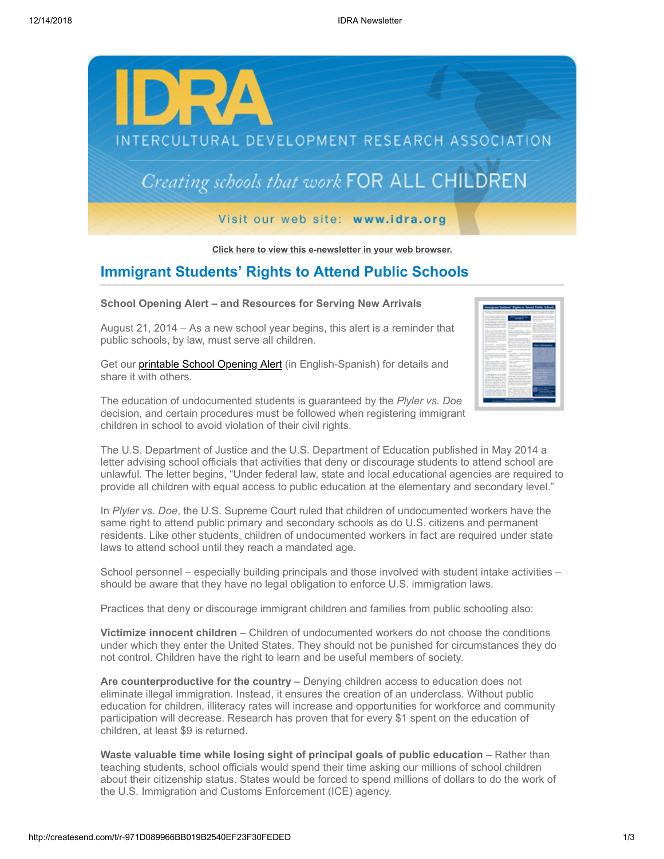

**[Click here to view this e-newsletter in your web browser.](http://newsletter.impulsedevelopment.com/t/r-e-mtkjluy-l-r/)**

# **Immigrant Students' Rights to Attend Public Schools**

#### **School Opening Alert – and Resources for Serving New Arrivals**

August 21, 2014 – As a new school year begins, this alert is a reminder that public schools, by law, must serve all children.

Get our **[printable School Opening Alert](http://idra.createsend1.com/t/r-l-mtkjluy-l-i/)** (in English-Spanish) for details and share it with others.

The education of undocumented students is guaranteed by the *Plyler vs. Doe* decision, and certain procedures must be followed when registering immigrant children in school to avoid violation of their civil rights.

|                                                                                                                                                                | sigram bradents' Rights to Artend Public Vols                                                                                              |                                                                                                                |
|----------------------------------------------------------------------------------------------------------------------------------------------------------------|--------------------------------------------------------------------------------------------------------------------------------------------|----------------------------------------------------------------------------------------------------------------|
| do state experience and con-<br>Christmas conventions and control and con-                                                                                     | --                                                                                                                                         | to dealer contractly come on                                                                                   |
| <b>And in the case of the control of</b><br><b>Service Controller of the American</b><br>allow simple showed and constraints the<br>development on the company |                                                                                                                                            | side on the same writer sides.<br><b>CARD AND A REPORTED</b><br>and the state of the con-<br><b>CONTRACTOR</b> |
| allow the distance that standard<br>and the company's company's<br>and the first product of the company of<br><b>Scale Scale and Constitution</b>              | the characteristic process to con-<br>the company's product to the company's<br>also completed and provided                                | <b>CARD CARD CARD CARD</b><br>and without the fill several<br>Manager Street Street and Children               |
| a descripción de la componentación<br>And in the first of the collection of                                                                                    | <b>COMPANY</b><br><b>Brown construction</b> - Source<br>and the control of the control of the con-                                         | and the second company of the local<br>and the contract of the contract of                                     |
| --------<br>an more financial with their<br>the process control of the process of<br>and the property of the property of                                       | and the policy and the policy and<br>---                                                                                                   | ------<br>be a battle of the first state of<br>and a street of the state of the                                |
| <b>CONTRACTOR IN A STATISTICS</b><br><b>Contractor</b>                                                                                                         | THE STATE STATE AND<br>allow front color and consti-<br>an come control today their                                                        | And in the case of the sea day                                                                                 |
| that would concell thinks<br>and all products and and<br>and a station on the factories                                                                        | the policy above the first<br>control and in the first state of<br>_______                                                                 |                                                                                                                |
| an other is allowed to annually<br>÷<br>But were the company of the company                                                                                    | An experience of the colors with a street<br>$\sim$<br>the shows a radio lists and                                                         |                                                                                                                |
| and the state of the company<br>when the winds or all<br>and a                                                                                                 | and how to come the time and there is<br>and continued the con-                                                                            |                                                                                                                |
| has see the com-<br>Collection of the first data of<br>and the party of the party of the                                                                       | THE R. P. LEWIS CO., LANSING MICH.<br>--<br>and a since a party of the a                                                                   |                                                                                                                |
| the first state and state and<br>Andrew Group and College College<br>and all colors and contractor                                                             | all the control of the con-<br>all parts of a company of<br>to the first state and the con-                                                |                                                                                                                |
| -<br>An experimental product of the context.<br>North Miles and Chinese                                                                                        | and content and content content<br><b>And and the property</b><br>to start them with the same start                                        |                                                                                                                |
| a chile his senate heart<br>And the seal for the fact that a<br>and the same in continue distance and                                                          | A copyright condition providing at which<br>and the control of the color of the<br>and the state of the column results and the property of |                                                                                                                |
| <b>REGISTER CONTINUES IN CONTINUES</b><br>an announced allowance and shown<br>the state and state and con-<br>a stranger that the company of the               | For the control and control and the fact<br>the three continues and the<br><b>STATE STATE</b>                                              |                                                                                                                |
| <b>SCIENCE</b><br><b>WARDER</b><br><b><i><u>STATE OF THE</u></i></b>                                                                                           | <b>STANDARD</b><br><b>The State State</b>                                                                                                  |                                                                                                                |
|                                                                                                                                                                | ----                                                                                                                                       |                                                                                                                |

The U.S. Department of Justice and the U.S. Department of Education published in May 2014 a letter advising school officials that activities that deny or discourage students to attend school are unlawful. The letter begins, "Under federal law, state and local educational agencies are required to provide all children with equal access to public education at the elementary and secondary level."

In *Plyler vs. Doe*, the U.S. Supreme Court ruled that children of undocumented workers have the same right to attend public primary and secondary schools as do U.S. citizens and permanent residents. Like other students, children of undocumented workers in fact are required under state laws to attend school until they reach a mandated age.

School personnel – especially building principals and those involved with student intake activities – should be aware that they have no legal obligation to enforce U.S. immigration laws.

Practices that deny or discourage immigrant children and families from public schooling also:

**Victimize innocent children** – Children of undocumented workers do not choose the conditions under which they enter the United States. They should not be punished for circumstances they do not control. Children have the right to learn and be useful members of society.

**Are counterproductive for the country** – Denying children access to education does not eliminate illegal immigration. Instead, it ensures the creation of an underclass. Without public education for children, illiteracy rates will increase and opportunities for workforce and community participation will decrease. Research has proven that for every \$1 spent on the education of children, at least \$9 is returned.

**Waste valuable time while losing sight of principal goals of public education** – Rather than teaching students, school officials would spend their time asking our millions of school children about their citizenship status. States would be forced to spend millions of dollars to do the work of the U.S. Immigration and Customs Enforcement (ICE) agency.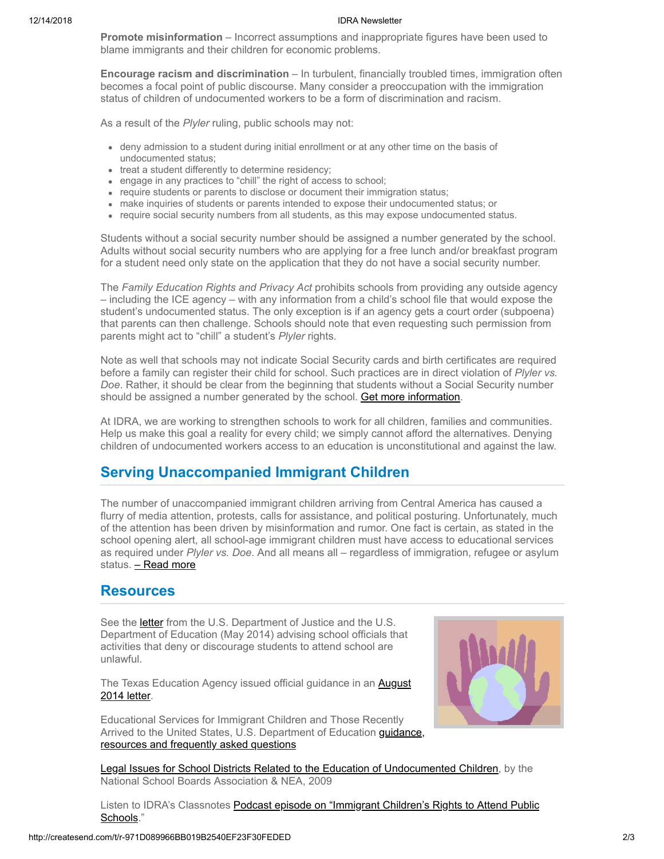#### 12/14/2018 IDRA Newsletter

**Promote misinformation** – Incorrect assumptions and inappropriate figures have been used to blame immigrants and their children for economic problems.

**Encourage racism and discrimination** – In turbulent, financially troubled times, immigration often becomes a focal point of public discourse. Many consider a preoccupation with the immigration status of children of undocumented workers to be a form of discrimination and racism.

As a result of the *Plyler* ruling, public schools may not:

- deny admission to a student during initial enrollment or at any other time on the basis of undocumented status;
- treat a student differently to determine residency;
- engage in any practices to "chill" the right of access to school;
- require students or parents to disclose or document their immigration status;
- make inquiries of students or parents intended to expose their undocumented status; or
- require social security numbers from all students, as this may expose undocumented status.

Students without a social security number should be assigned a number generated by the school. Adults without social security numbers who are applying for a free lunch and/or breakfast program for a student need only state on the application that they do not have a social security number.

The *Family Education Rights and Privacy Act* prohibits schools from providing any outside agency – including the ICE agency – with any information from a child's school file that would expose the student's undocumented status. The only exception is if an agency gets a court order (subpoena) that parents can then challenge. Schools should note that even requesting such permission from parents might act to "chill" a student's *Plyler* rights.

Note as well that schools may not indicate Social Security cards and birth certificates are required before a family can register their child for school. Such practices are in direct violation of *Plyler vs. Doe*. Rather, it should be clear from the beginning that students without a Social Security number should be assigned a number generated by the school. [Get more information](http://idra.createsend1.com/t/r-l-mtkjluy-l-d/).

At IDRA, we are working to strengthen schools to work for all children, families and communities. Help us make this goal a reality for every child; we simply cannot afford the alternatives. Denying children of undocumented workers access to an education is unconstitutional and against the law.

## **Serving Unaccompanied Immigrant Children**

The number of unaccompanied immigrant children arriving from Central America has caused a flurry of media attention, protests, calls for assistance, and political posturing. Unfortunately, much of the attention has been driven by misinformation and rumor. One fact is certain, as stated in the school opening alert, all school-age immigrant children must have access to educational services as required under *Plyler vs. Doe*. And all means all – regardless of immigration, refugee or asylum status. [– Read more](http://idra.createsend1.com/t/r-l-mtkjluy-l-o/)

## **Resources**

See the **letter** from the U.S. Department of Justice and the U.S. Department of Education (May 2014) advising school officials that activities that deny or discourage students to attend school are unlawful.

The Texas Education Agency issued official guidance in an **August** 2014 letter.

Educational Services for Immigrant Children and Those Recently [Arrived to the United States, U.S. Department of Education guidance,](http://idra.createsend1.com/t/r-l-mtkjluy-l-p/) resources and frequently asked questions



[Legal Issues for School Districts Related to the Education of Undocumented Children,](http://idra.createsend1.com/t/r-l-mtkjluy-l-x/) by the National School Boards Association & NEA, 2009

[Listen to IDRA's Classnotes Podcast episode on "Immigrant Children's Rights to Attend Public](http://idra.createsend1.com/t/r-l-mtkjluy-l-m/) Schools."